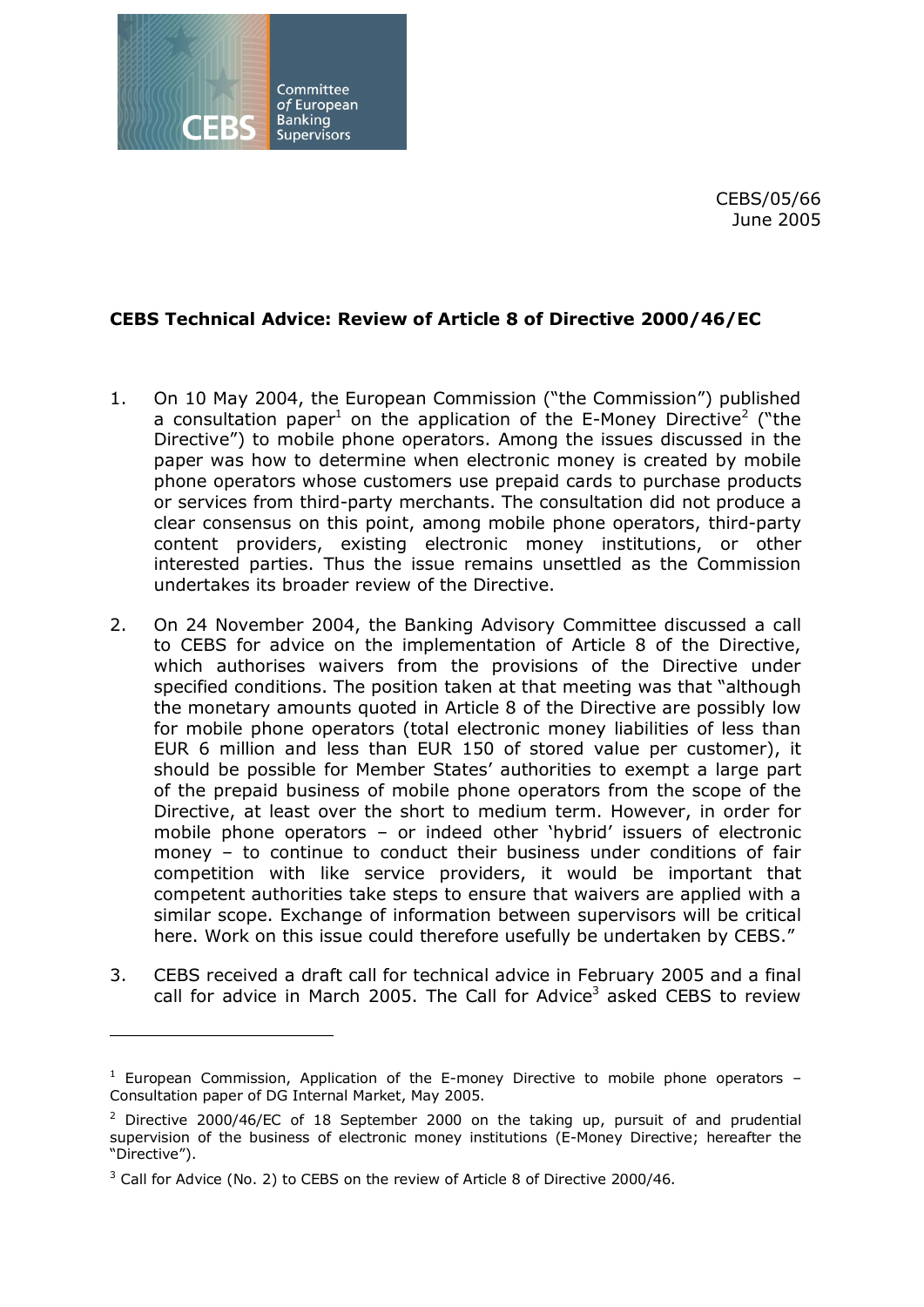

CEBS/05/66 June 2005

## **CEBS Technical Advice: Review of Article 8 of Directive 2000/46/EC**

- 1. On 10 May 2004, the European Commission ("the Commission") published a consultation paper<sup>1</sup> on the application of the E-Money Directive<sup>2</sup> ("the Directive") to mobile phone operators. Among the issues discussed in the paper was how to determine when electronic money is created by mobile phone operators whose customers use prepaid cards to purchase products or services from third-party merchants. The consultation did not produce a clear consensus on this point, among mobile phone operators, third-party content providers, existing electronic money institutions, or other interested parties. Thus the issue remains unsettled as the Commission undertakes its broader review of the Directive.
- 2. On 24 November 2004, the Banking Advisory Committee discussed a call to CEBS for advice on the implementation of Article 8 of the Directive, which authorises waivers from the provisions of the Directive under specified conditions. The position taken at that meeting was that "although the monetary amounts quoted in Article 8 of the Directive are possibly low for mobile phone operators (total electronic money liabilities of less than EUR 6 million and less than EUR 150 of stored value per customer), it should be possible for Member States' authorities to exempt a large part of the prepaid business of mobile phone operators from the scope of the Directive, at least over the short to medium term. However, in order for mobile phone operators – or indeed other 'hybrid' issuers of electronic money – to continue to conduct their business under conditions of fair competition with like service providers, it would be important that competent authorities take steps to ensure that waivers are applied with a similar scope. Exchange of information between supervisors will be critical here. Work on this issue could therefore usefully be undertaken by CEBS."
- 3. CEBS received a draft call for technical advice in February 2005 and a final call for advice in March 2005. The Call for Advice<sup>3</sup> asked CEBS to review

 $1$  European Commission, Application of the E-money Directive to mobile phone operators  $-$ Consultation paper of DG Internal Market, May 2005.

<sup>&</sup>lt;sup>2</sup> Directive 2000/46/EC of 18 September 2000 on the taking up, pursuit of and prudential supervision of the business of electronic money institutions (E-Money Directive; hereafter the "Directive").

 $3$  Call for Advice (No. 2) to CEBS on the review of Article 8 of Directive 2000/46.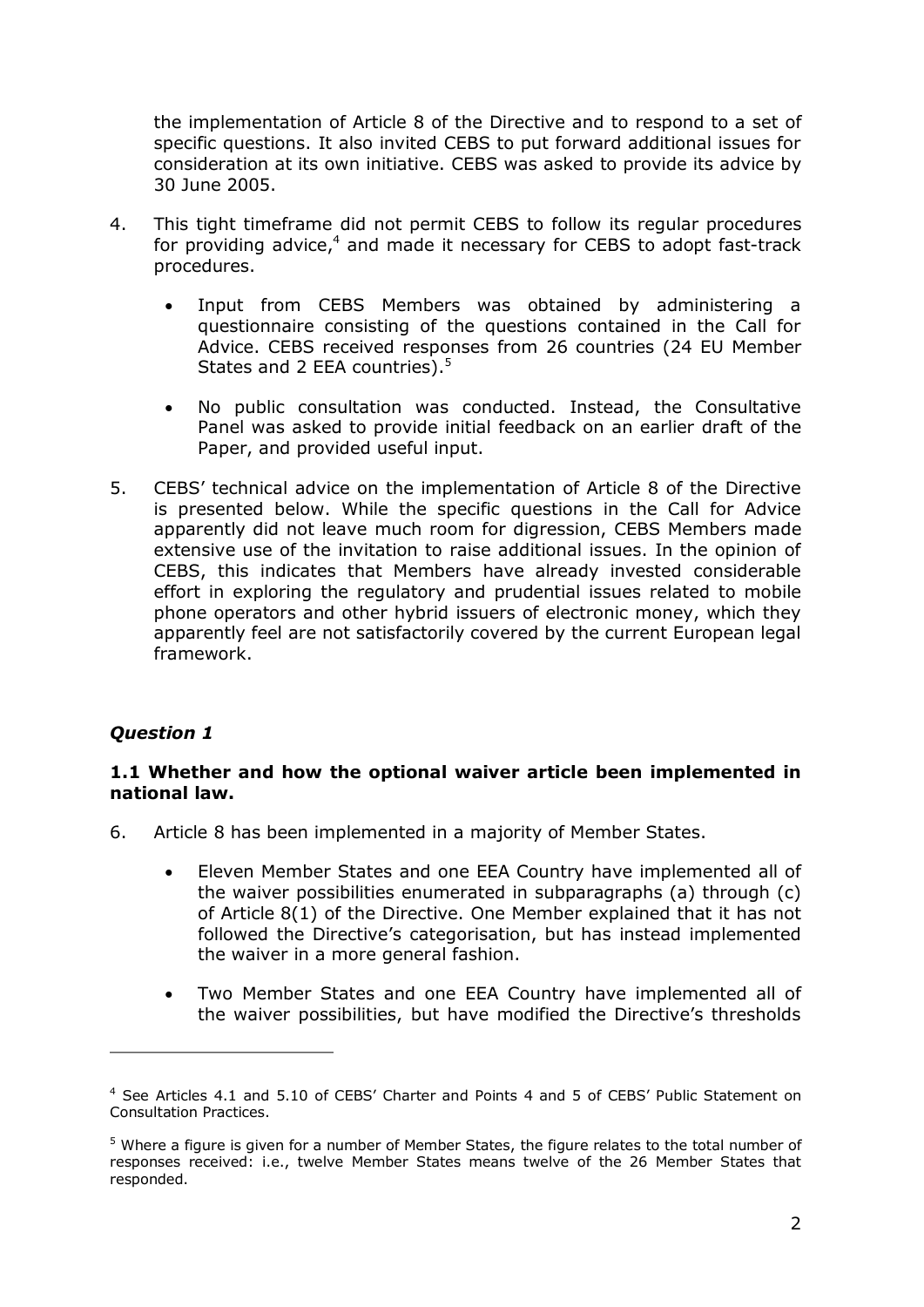the implementation of Article 8 of the Directive and to respond to a set of specific questions. It also invited CEBS to put forward additional issues for consideration at its own initiative. CEBS was asked to provide its advice by 30 June 2005.

- 4. This tight timeframe did not permit CEBS to follow its regular procedures for providing advice, $4$  and made it necessary for CEBS to adopt fast-track procedures.
	- Input from CEBS Members was obtained by administering a questionnaire consisting of the questions contained in the Call for Advice. CEBS received responses from 26 countries (24 EU Member States and 2 EEA countries).<sup>5</sup>
	- · No public consultation was conducted. Instead, the Consultative Panel was asked to provide initial feedback on an earlier draft of the Paper, and provided useful input.
- 5. CEBS' technical advice on the implementation of Article 8 of the Directive is presented below. While the specific questions in the Call for Advice apparently did not leave much room for digression, CEBS Members made extensive use of the invitation to raise additional issues. In the opinion of CEBS, this indicates that Members have already invested considerable effort in exploring the regulatory and prudential issues related to mobile phone operators and other hybrid issuers of electronic money, which they apparently feel are not satisfactorily covered by the current European legal framework.

# *Question 1*

## **1.1 Whether and how the optional waiver article been implemented in national law.**

- 6. Article 8 has been implemented in a majority of Member States.
	- · Eleven Member States and one EEA Country have implemented all of the waiver possibilities enumerated in subparagraphs (a) through (c) of Article 8(1) of the Directive. One Member explained that it has not followed the Directive's categorisation, but has instead implemented the waiver in a more general fashion.
	- · Two Member States and one EEA Country have implemented all of the waiver possibilities, but have modified the Directive's thresholds

<sup>4</sup> See Articles 4.1 and 5.10 of CEBS' Charter and Points 4 and 5 of CEBS' Public Statement on Consultation Practices.

 $<sup>5</sup>$  Where a figure is given for a number of Member States, the figure relates to the total number of</sup> responses received: i.e., twelve Member States means twelve of the 26 Member States that responded.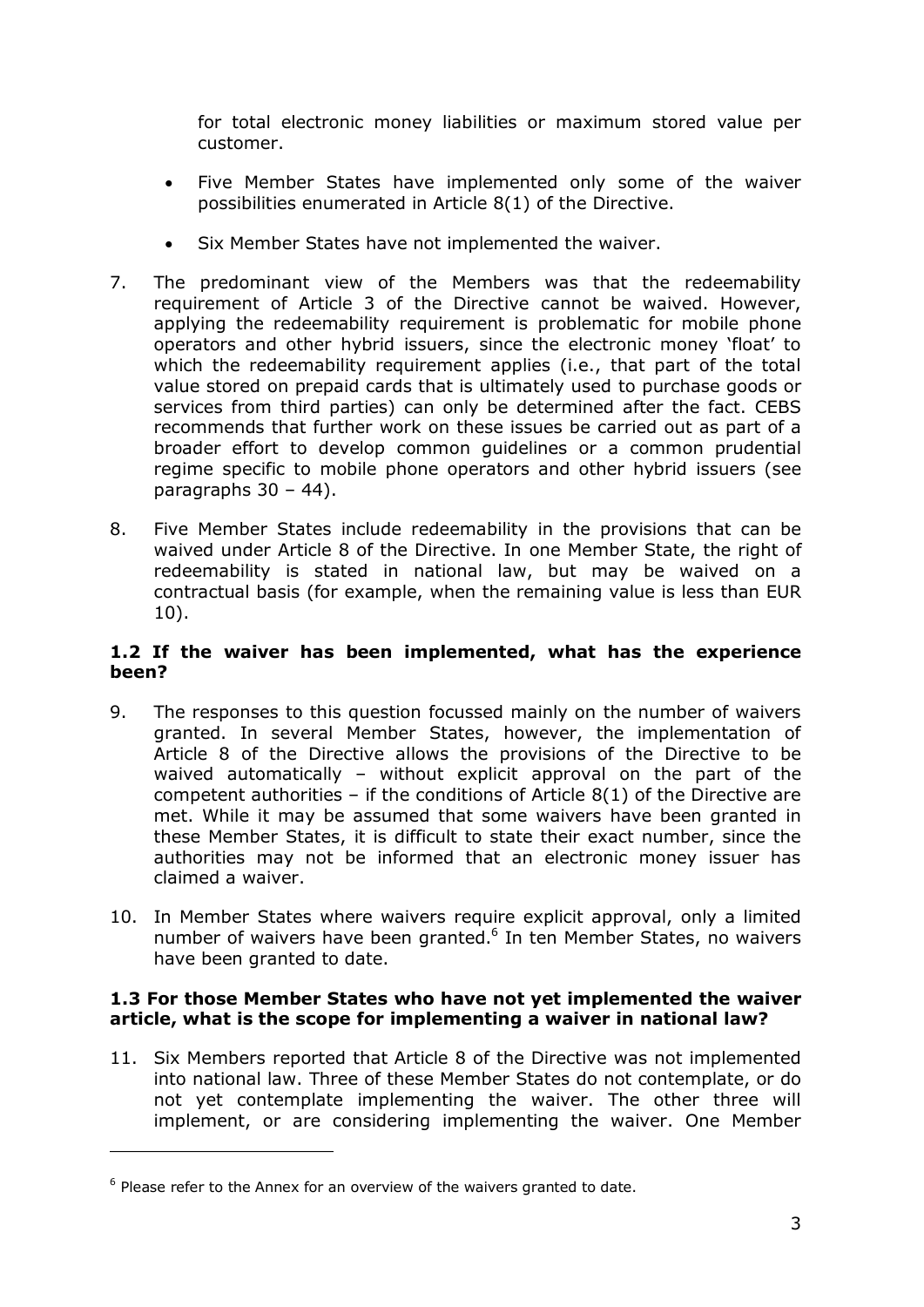for total electronic money liabilities or maximum stored value per customer.

- · Five Member States have implemented only some of the waiver possibilities enumerated in Article 8(1) of the Directive.
- Six Member States have not implemented the waiver.
- 7. The predominant view of the Members was that the redeemability requirement of Article 3 of the Directive cannot be waived. However, applying the redeemability requirement is problematic for mobile phone operators and other hybrid issuers, since the electronic money 'float' to which the redeemability requirement applies (i.e., that part of the total value stored on prepaid cards that is ultimately used to purchase goods or services from third parties) can only be determined after the fact. CEBS recommends that further work on these issues be carried out as part of a broader effort to develop common guidelines or a common prudential regime specific to mobile phone operators and other hybrid issuers (see paragraphs  $30 - 44$ ).
- 8. Five Member States include redeemability in the provisions that can be waived under Article 8 of the Directive. In one Member State, the right of redeemability is stated in national law, but may be waived on a contractual basis (for example, when the remaining value is less than EUR 10).

### **1.2 If the waiver has been implemented, what has the experience been?**

- 9. The responses to this question focussed mainly on the number of waivers granted. In several Member States, however, the implementation of Article 8 of the Directive allows the provisions of the Directive to be waived automatically – without explicit approval on the part of the competent authorities – if the conditions of Article  $8(1)$  of the Directive are met. While it may be assumed that some waivers have been granted in these Member States, it is difficult to state their exact number, since the authorities may not be informed that an electronic money issuer has claimed a waiver.
- 10. In Member States where waivers require explicit approval, only a limited number of waivers have been granted. $6$  In ten Member States, no waivers have been granted to date.

## **1.3 For those Member States who have not yet implemented the waiver article, what is the scope for implementing a waiver in national law?**

11. Six Members reported that Article 8 of the Directive was not implemented into national law. Three of these Member States do not contemplate, or do not yet contemplate implementing the waiver. The other three will implement, or are considering implementing the waiver. One Member

 $6$  Please refer to the Annex for an overview of the waivers granted to date.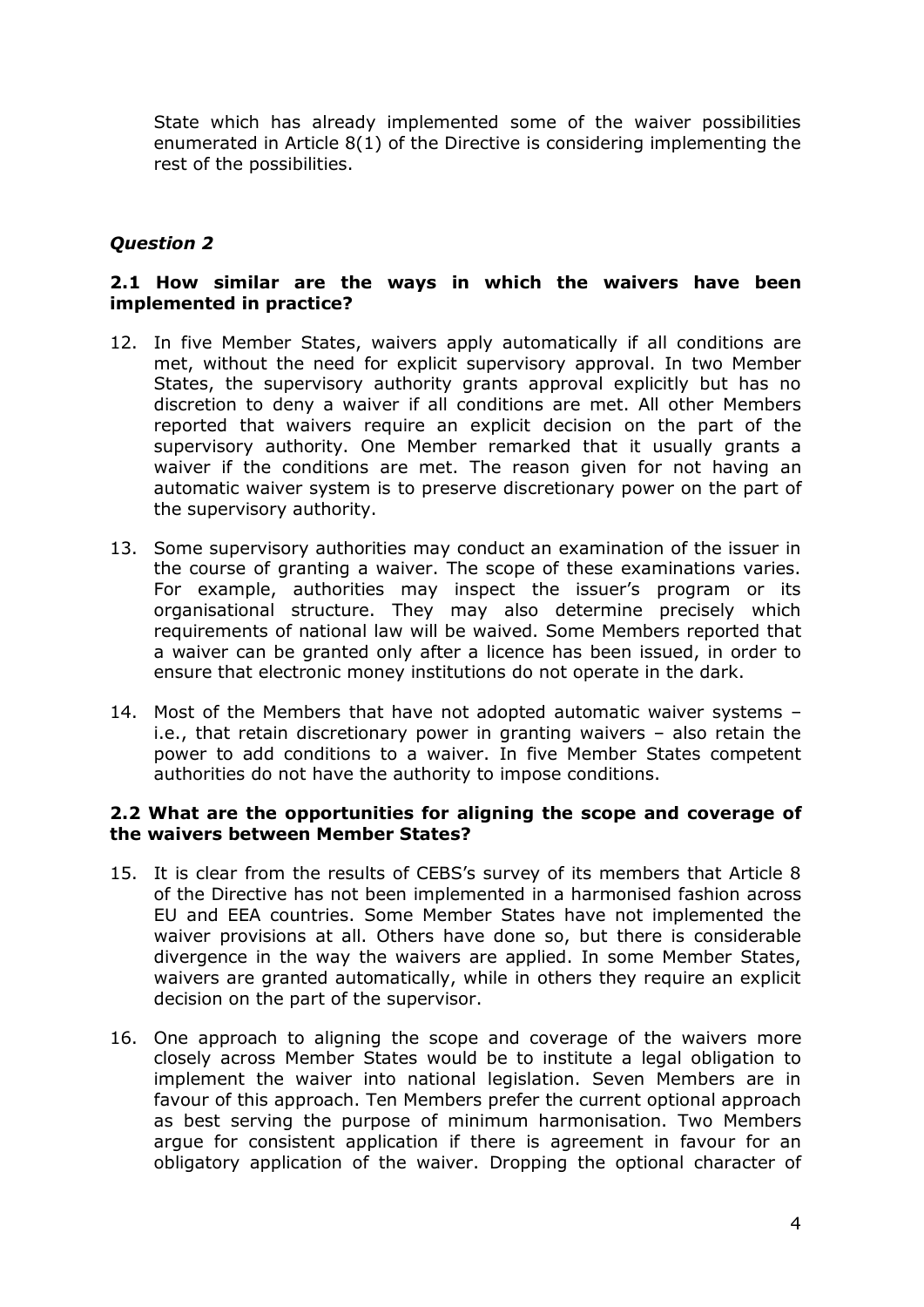State which has already implemented some of the waiver possibilities enumerated in Article 8(1) of the Directive is considering implementing the rest of the possibilities.

# *Question 2*

## **2.1 How similar are the ways in which the waivers have been implemented in practice?**

- 12. In five Member States, waivers apply automatically if all conditions are met, without the need for explicit supervisory approval. In two Member States, the supervisory authority grants approval explicitly but has no discretion to deny a waiver if all conditions are met. All other Members reported that waivers require an explicit decision on the part of the supervisory authority. One Member remarked that it usually grants a waiver if the conditions are met. The reason given for not having an automatic waiver system is to preserve discretionary power on the part of the supervisory authority.
- 13. Some supervisory authorities may conduct an examination of the issuer in the course of granting a waiver. The scope of these examinations varies. For example, authorities may inspect the issuer's program or its organisational structure. They may also determine precisely which requirements of national law will be waived. Some Members reported that a waiver can be granted only after a licence has been issued, in order to ensure that electronic money institutions do not operate in the dark.
- 14. Most of the Members that have not adopted automatic waiver systems i.e., that retain discretionary power in granting waivers – also retain the power to add conditions to a waiver. In five Member States competent authorities do not have the authority to impose conditions.

#### **2.2 What are the opportunities for aligning the scope and coverage of the waivers between Member States?**

- 15. It is clear from the results of CEBS's survey of its members that Article 8 of the Directive has not been implemented in a harmonised fashion across EU and EEA countries. Some Member States have not implemented the waiver provisions at all. Others have done so, but there is considerable divergence in the way the waivers are applied. In some Member States, waivers are granted automatically, while in others they require an explicit decision on the part of the supervisor.
- 16. One approach to aligning the scope and coverage of the waivers more closely across Member States would be to institute a legal obligation to implement the waiver into national legislation. Seven Members are in favour of this approach. Ten Members prefer the current optional approach as best serving the purpose of minimum harmonisation. Two Members argue for consistent application if there is agreement in favour for an obligatory application of the waiver. Dropping the optional character of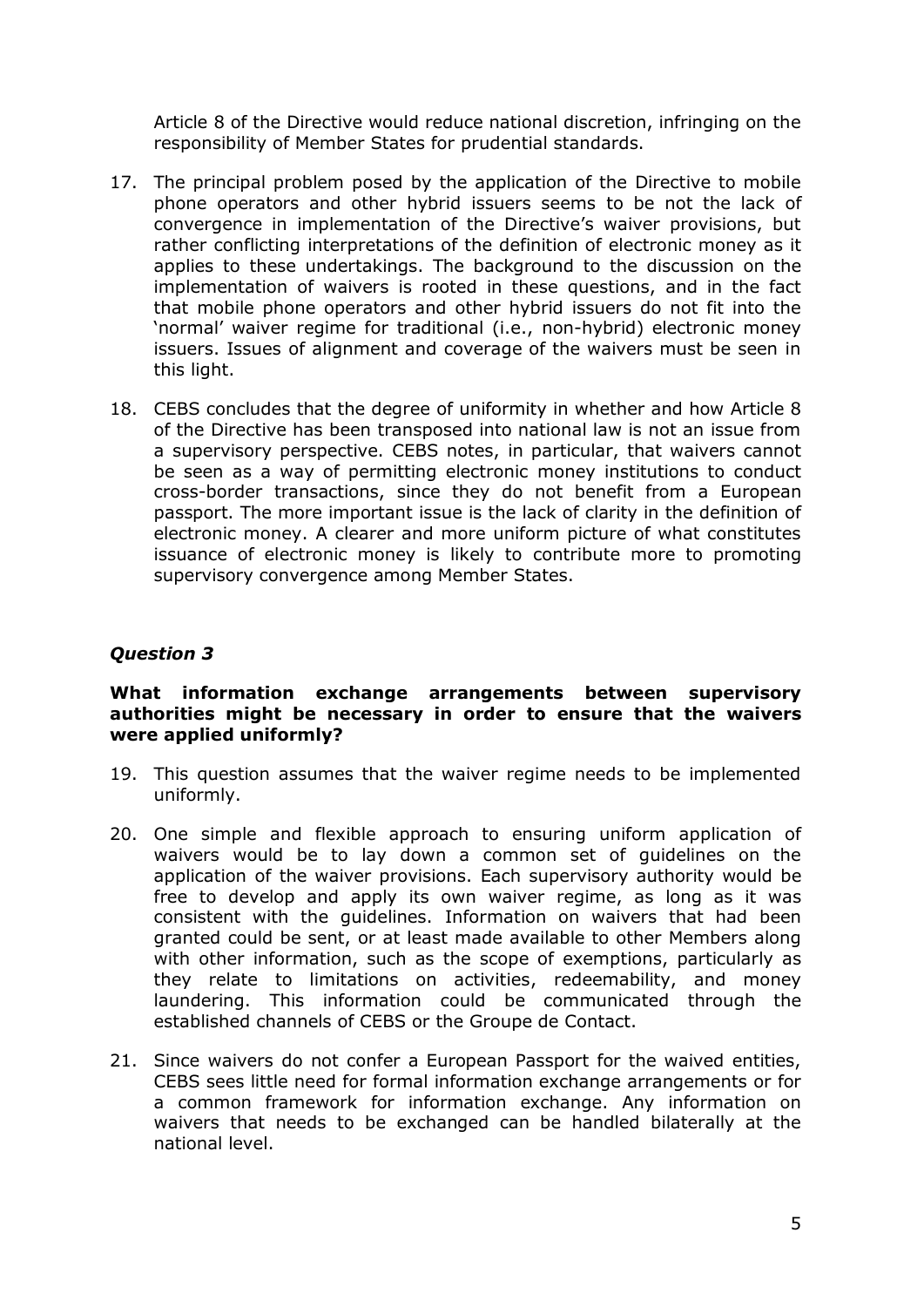Article 8 of the Directive would reduce national discretion, infringing on the responsibility of Member States for prudential standards.

- 17. The principal problem posed by the application of the Directive to mobile phone operators and other hybrid issuers seems to be not the lack of convergence in implementation of the Directive's waiver provisions, but rather conflicting interpretations of the definition of electronic money as it applies to these undertakings. The background to the discussion on the implementation of waivers is rooted in these questions, and in the fact that mobile phone operators and other hybrid issuers do not fit into the 'normal' waiver regime for traditional (i.e., non-hybrid) electronic money issuers. Issues of alignment and coverage of the waivers must be seen in this light.
- 18. CEBS concludes that the degree of uniformity in whether and how Article 8 of the Directive has been transposed into national law is not an issue from a supervisory perspective. CEBS notes, in particular, that waivers cannot be seen as a way of permitting electronic money institutions to conduct cross-border transactions, since they do not benefit from a European passport. The more important issue is the lack of clarity in the definition of electronic money. A clearer and more uniform picture of what constitutes issuance of electronic money is likely to contribute more to promoting supervisory convergence among Member States.

# *Question 3*

### **What information exchange arrangements between supervisory authorities might be necessary in order to ensure that the waivers were applied uniformly?**

- 19. This question assumes that the waiver regime needs to be implemented uniformly.
- 20. One simple and flexible approach to ensuring uniform application of waivers would be to lay down a common set of guidelines on the application of the waiver provisions. Each supervisory authority would be free to develop and apply its own waiver regime, as long as it was consistent with the guidelines. Information on waivers that had been granted could be sent, or at least made available to other Members along with other information, such as the scope of exemptions, particularly as they relate to limitations on activities, redeemability, and money laundering. This information could be communicated through the established channels of CEBS or the Groupe de Contact.
- 21. Since waivers do not confer a European Passport for the waived entities, CEBS sees little need for formal information exchange arrangements or for a common framework for information exchange. Any information on waivers that needs to be exchanged can be handled bilaterally at the national level.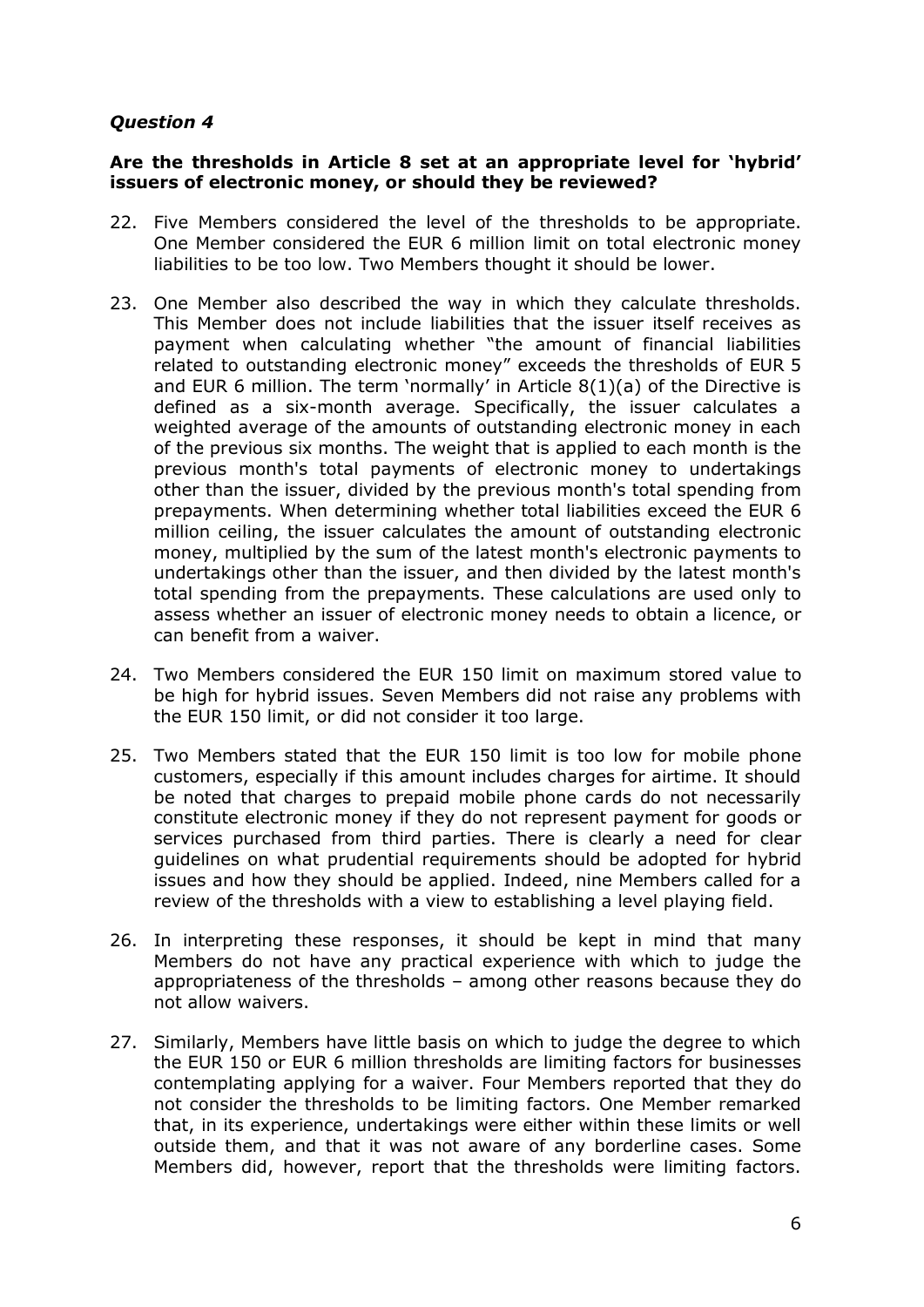# *Question 4*

#### **Are the thresholds in Article 8 set at an appropriate level for 'hybrid' issuers of electronic money, or should they be reviewed?**

- 22. Five Members considered the level of the thresholds to be appropriate. One Member considered the EUR 6 million limit on total electronic money liabilities to be too low. Two Members thought it should be lower.
- 23. One Member also described the way in which they calculate thresholds. This Member does not include liabilities that the issuer itself receives as payment when calculating whether "the amount of financial liabilities related to outstanding electronic money" exceeds the thresholds of EUR 5 and EUR 6 million. The term 'normally' in Article 8(1)(a) of the Directive is defined as a six-month average. Specifically, the issuer calculates a weighted average of the amounts of outstanding electronic money in each of the previous six months. The weight that is applied to each month is the previous month's total payments of electronic money to undertakings other than the issuer, divided by the previous month's total spending from prepayments. When determining whether total liabilities exceed the EUR 6 million ceiling, the issuer calculates the amount of outstanding electronic money, multiplied by the sum of the latest month's electronic payments to undertakings other than the issuer, and then divided by the latest month's total spending from the prepayments. These calculations are used only to assess whether an issuer of electronic money needs to obtain a licence, or can benefit from a waiver.
- 24. Two Members considered the EUR 150 limit on maximum stored value to be high for hybrid issues. Seven Members did not raise any problems with the EUR 150 limit, or did not consider it too large.
- 25. Two Members stated that the EUR 150 limit is too low for mobile phone customers, especially if this amount includes charges for airtime. It should be noted that charges to prepaid mobile phone cards do not necessarily constitute electronic money if they do not represent payment for goods or services purchased from third parties. There is clearly a need for clear guidelines on what prudential requirements should be adopted for hybrid issues and how they should be applied. Indeed, nine Members called for a review of the thresholds with a view to establishing a level playing field.
- 26. In interpreting these responses, it should be kept in mind that many Members do not have any practical experience with which to judge the appropriateness of the thresholds – among other reasons because they do not allow waivers.
- 27. Similarly, Members have little basis on which to judge the degree to which the EUR 150 or EUR 6 million thresholds are limiting factors for businesses contemplating applying for a waiver. Four Members reported that they do not consider the thresholds to be limiting factors. One Member remarked that, in its experience, undertakings were either within these limits or well outside them, and that it was not aware of any borderline cases. Some Members did, however, report that the thresholds were limiting factors.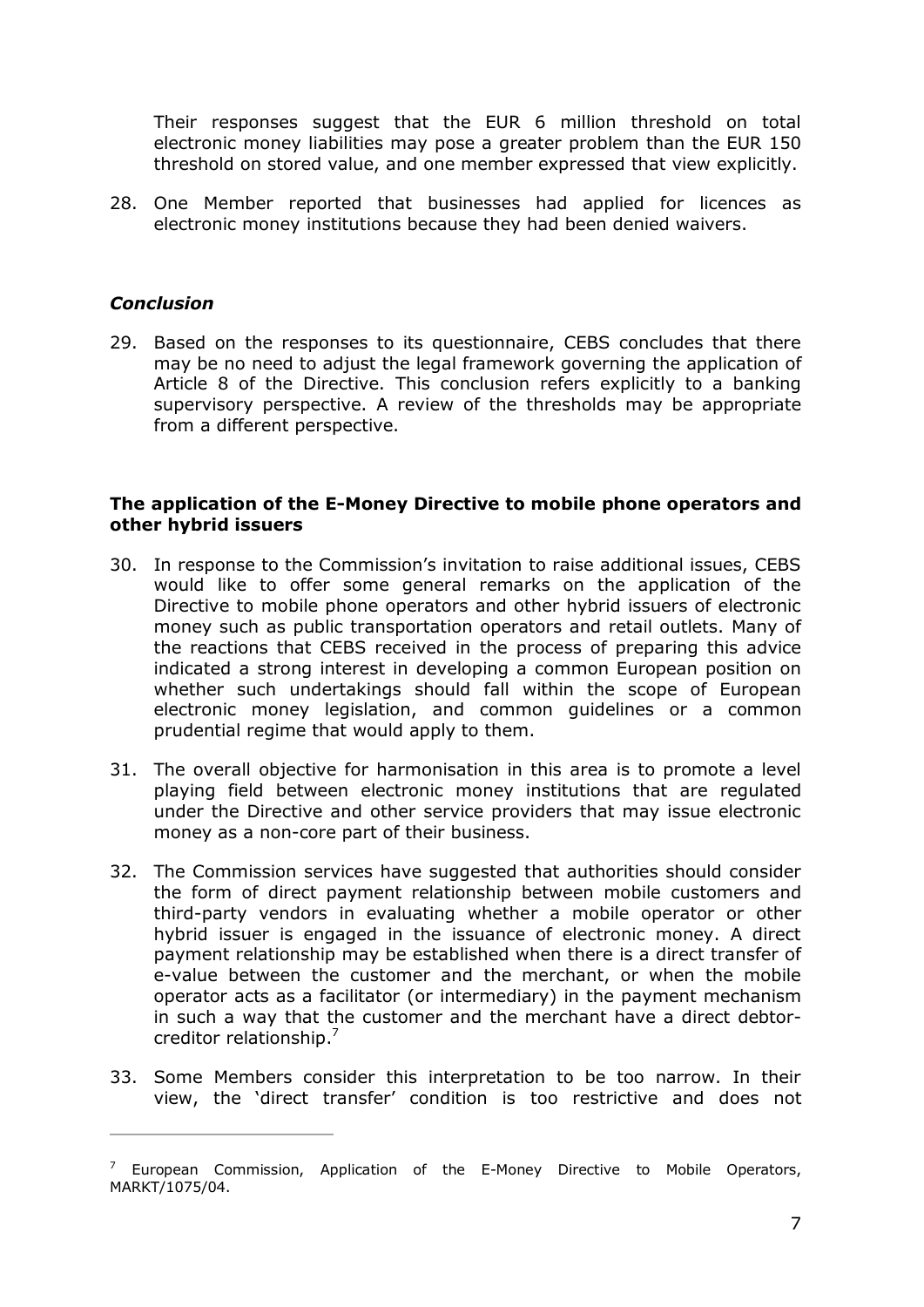Their responses suggest that the EUR 6 million threshold on total electronic money liabilities may pose a greater problem than the EUR 150 threshold on stored value, and one member expressed that view explicitly.

28. One Member reported that businesses had applied for licences as electronic money institutions because they had been denied waivers.

### *Conclusion*

29. Based on the responses to its questionnaire, CEBS concludes that there may be no need to adjust the legal framework governing the application of Article 8 of the Directive. This conclusion refers explicitly to a banking supervisory perspective. A review of the thresholds may be appropriate from a different perspective.

#### **The application of the E-Money Directive to mobile phone operators and other hybrid issuers**

- 30. In response to the Commission's invitation to raise additional issues, CEBS would like to offer some general remarks on the application of the Directive to mobile phone operators and other hybrid issuers of electronic money such as public transportation operators and retail outlets. Many of the reactions that CEBS received in the process of preparing this advice indicated a strong interest in developing a common European position on whether such undertakings should fall within the scope of European electronic money legislation, and common guidelines or a common prudential regime that would apply to them.
- 31. The overall objective for harmonisation in this area is to promote a level playing field between electronic money institutions that are regulated under the Directive and other service providers that may issue electronic money as a non-core part of their business.
- 32. The Commission services have suggested that authorities should consider the form of direct payment relationship between mobile customers and third-party vendors in evaluating whether a mobile operator or other hybrid issuer is engaged in the issuance of electronic money. A direct payment relationship may be established when there is a direct transfer of e-value between the customer and the merchant, or when the mobile operator acts as a facilitator (or intermediary) in the payment mechanism in such a way that the customer and the merchant have a direct debtor creditor relationship.<sup>7</sup>
- 33. Some Members consider this interpretation to be too narrow. In their view, the 'direct transfer' condition is too restrictive and does not

<sup>&</sup>lt;sup>7</sup> European Commission, Application of the E-Money Directive to Mobile Operators, MARKT/1075/04.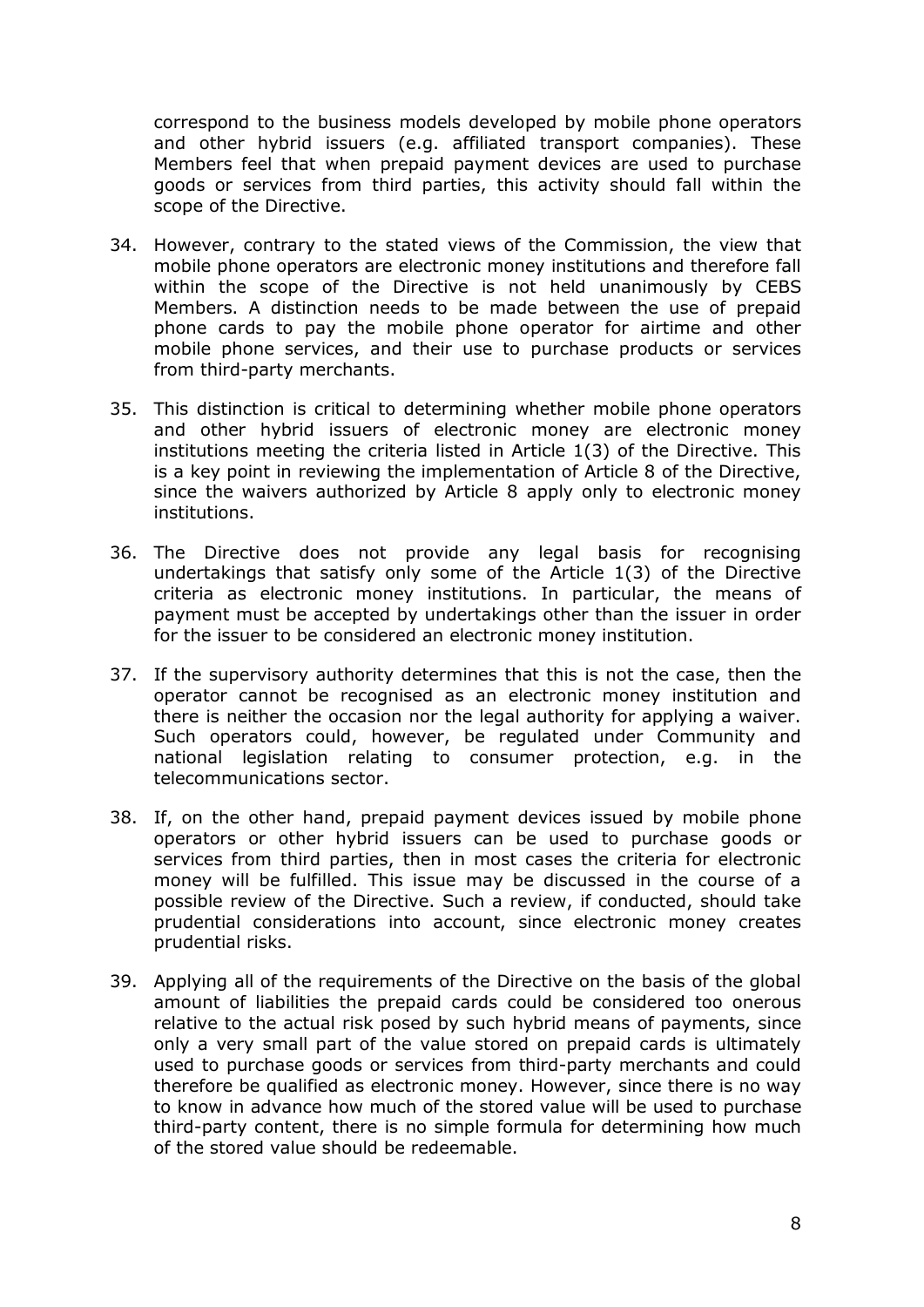correspond to the business models developed by mobile phone operators and other hybrid issuers (e.g. affiliated transport companies). These Members feel that when prepaid payment devices are used to purchase goods or services from third parties, this activity should fall within the scope of the Directive.

- 34. However, contrary to the stated views of the Commission, the view that mobile phone operators are electronic money institutions and therefore fall within the scope of the Directive is not held unanimously by CEBS Members. A distinction needs to be made between the use of prepaid phone cards to pay the mobile phone operator for airtime and other mobile phone services, and their use to purchase products or services from third-party merchants.
- 35. This distinction is critical to determining whether mobile phone operators and other hybrid issuers of electronic money are electronic money institutions meeting the criteria listed in Article 1(3) of the Directive. This is a key point in reviewing the implementation of Article 8 of the Directive, since the waivers authorized by Article 8 apply only to electronic money institutions.
- 36. The Directive does not provide any legal basis for recognising undertakings that satisfy only some of the Article 1(3) of the Directive criteria as electronic money institutions. In particular, the means of payment must be accepted by undertakings other than the issuer in order for the issuer to be considered an electronic money institution.
- 37. If the supervisory authority determines that this is not the case, then the operator cannot be recognised as an electronic money institution and there is neither the occasion nor the legal authority for applying a waiver. Such operators could, however, be regulated under Community and national legislation relating to consumer protection, e.g. in the telecommunications sector.
- 38. If, on the other hand, prepaid payment devices issued by mobile phone operators or other hybrid issuers can be used to purchase goods or services from third parties, then in most cases the criteria for electronic money will be fulfilled. This issue may be discussed in the course of a possible review of the Directive. Such a review, if conducted, should take prudential considerations into account, since electronic money creates prudential risks.
- 39. Applying all of the requirements of the Directive on the basis of the global amount of liabilities the prepaid cards could be considered too onerous relative to the actual risk posed by such hybrid means of payments, since only a very small part of the value stored on prepaid cards is ultimately used to purchase goods or services from third-party merchants and could therefore be qualified as electronic money. However, since there is no way to know in advance how much of the stored value will be used to purchase third-party content, there is no simple formula for determining how much of the stored value should be redeemable.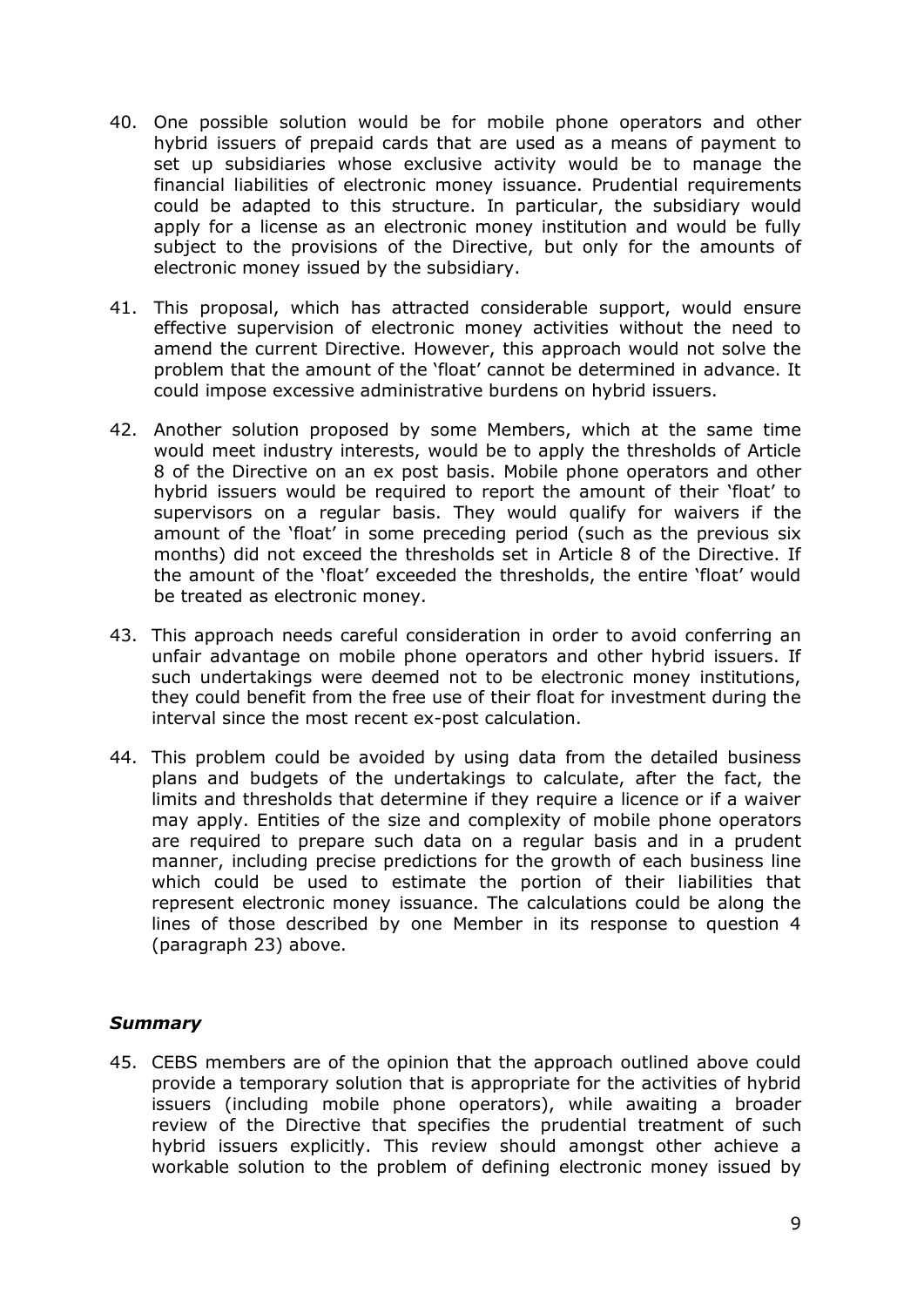- 40. One possible solution would be for mobile phone operators and other hybrid issuers of prepaid cards that are used as a means of payment to set up subsidiaries whose exclusive activity would be to manage the financial liabilities of electronic money issuance. Prudential requirements could be adapted to this structure. In particular, the subsidiary would apply for a license as an electronic money institution and would be fully subject to the provisions of the Directive, but only for the amounts of electronic money issued by the subsidiary.
- 41. This proposal, which has attracted considerable support, would ensure effective supervision of electronic money activities without the need to amend the current Directive. However, this approach would not solve the problem that the amount of the 'float' cannot be determined in advance. It could impose excessive administrative burdens on hybrid issuers.
- 42. Another solution proposed by some Members, which at the same time would meet industry interests, would be to apply the thresholds of Article 8 of the Directive on an ex post basis. Mobile phone operators and other hybrid issuers would be required to report the amount of their 'float' to supervisors on a regular basis. They would qualify for waivers if the amount of the 'float' in some preceding period (such as the previous six months) did not exceed the thresholds set in Article 8 of the Directive. If the amount of the 'float' exceeded the thresholds, the entire 'float' would be treated as electronic money.
- 43. This approach needs careful consideration in order to avoid conferring an unfair advantage on mobile phone operators and other hybrid issuers. If such undertakings were deemed not to be electronic money institutions, they could benefit from the free use of their float for investment during the interval since the most recent ex-post calculation.
- 44. This problem could be avoided by using data from the detailed business plans and budgets of the undertakings to calculate, after the fact, the limits and thresholds that determine if they require a licence or if a waiver may apply. Entities of the size and complexity of mobile phone operators are required to prepare such data on a regular basis and in a prudent manner, including precise predictions for the growth of each business line which could be used to estimate the portion of their liabilities that represent electronic money issuance. The calculations could be along the lines of those described by one Member in its response to question 4 (paragraph 23) above.

## *Summary*

45. CEBS members are of the opinion that the approach outlined above could provide a temporary solution that is appropriate for the activities of hybrid issuers (including mobile phone operators), while awaiting a broader review of the Directive that specifies the prudential treatment of such hybrid issuers explicitly. This review should amongst other achieve a workable solution to the problem of defining electronic money issued by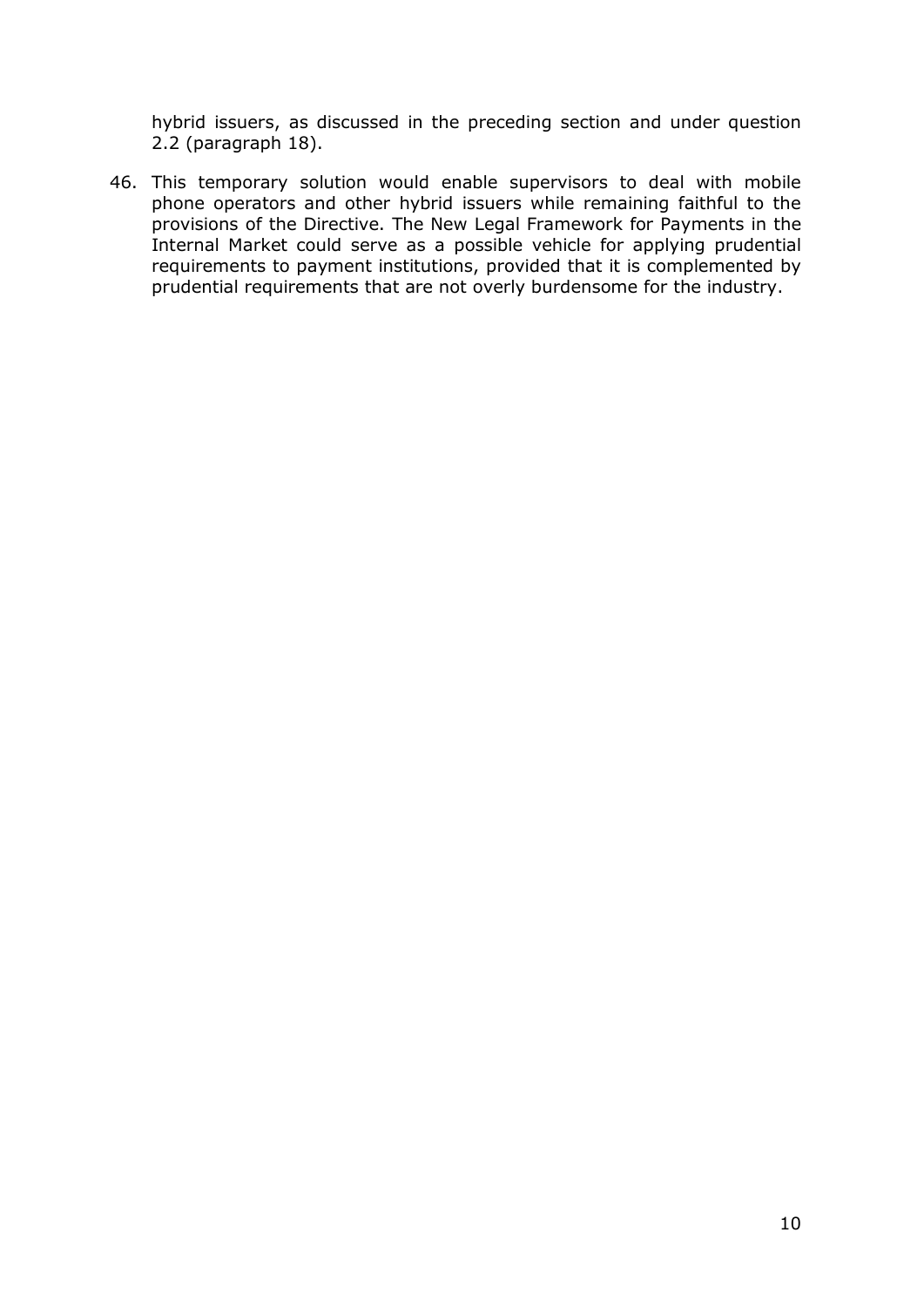hybrid issuers, as discussed in the preceding section and under question 2.2 (paragraph 18).

46. This temporary solution would enable supervisors to deal with mobile phone operators and other hybrid issuers while remaining faithful to the provisions of the Directive. The New Legal Framework for Payments in the Internal Market could serve as a possible vehicle for applying prudential requirements to payment institutions, provided that it is complemented by prudential requirements that are not overly burdensome for the industry.